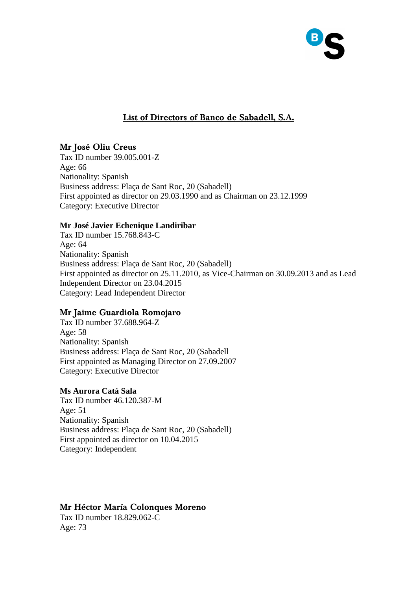

# **List of Directors of Banco de Sabadell, S.A.**

### **Mr José Oliu Creus**

Tax ID number 39.005.001-Z Age: 66 Nationality: Spanish Business address: Plaça de Sant Roc, 20 (Sabadell) First appointed as director on 29.03.1990 and as Chairman on 23.12.1999 Category: Executive Director

### **Mr José Javier Echenique Landiribar**

Tax ID number 15.768.843-C Age: 64 Nationality: Spanish Business address: Plaça de Sant Roc, 20 (Sabadell) First appointed as director on 25.11.2010, as Vice-Chairman on 30.09.2013 and as Lead Independent Director on 23.04.2015 Category: Lead Independent Director

## **Mr Jaime Guardiola Romojaro**

Tax ID number 37.688.964-Z Age: 58 Nationality: Spanish Business address: Plaça de Sant Roc, 20 (Sabadell First appointed as Managing Director on 27.09.2007 Category: Executive Director

### **Ms Aurora Catá Sala**

Tax ID number 46.120.387-M Age: 51 Nationality: Spanish Business address: Plaça de Sant Roc, 20 (Sabadell) First appointed as director on 10.04.2015 Category: Independent

### **Mr Héctor María Colonques Moreno**

Tax ID number 18.829.062-C Age: 73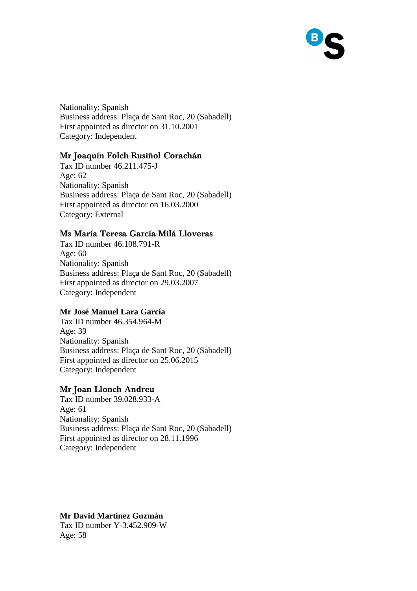Nationality: Spanish Business address: Plaça de Sant Roc, 20 (Sabadell) First appointed as director on 31.10.2001 Category: Independent

## **Mr Joaquín Folch-Rusiñol Corachán**

Tax ID number 46.211.475-J Age: 62 Nationality: Spanish Business address: Plaça de Sant Roc, 20 (Sabadell) First appointed as director on 16.03.2000 Category: External

### **Ms María Teresa García-Milá Lloveras**

Tax ID number 46.108.791-R Age: 60 Nationality: Spanish Business address: Plaça de Sant Roc, 20 (Sabadell) First appointed as director on 29.03.2007 Category: Independent

#### **Mr José Manuel Lara García**

Tax ID number 46.354.964-M Age: 39 Nationality: Spanish Business address: Plaça de Sant Roc, 20 (Sabadell) First appointed as director on 25.06.2015 Category: Independent

### **Mr Joan Llonch Andreu**

Tax ID number 39.028.933-A Age: 61 Nationality: Spanish Business address: Plaça de Sant Roc, 20 (Sabadell) First appointed as director on 28.11.1996 Category: Independent

#### **Mr David Martínez Guzmán**

Tax ID number Y-3.452.909-W Age: 58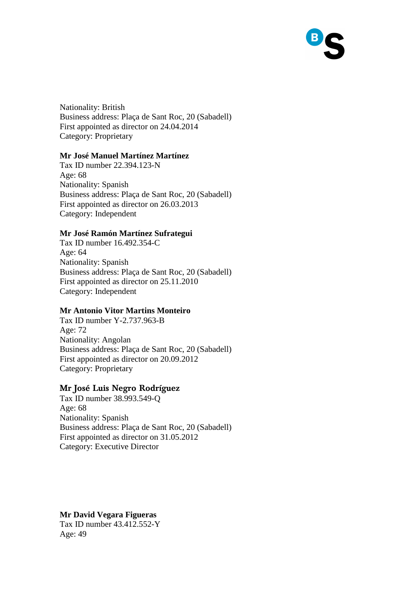Nationality: British Business address: Plaça de Sant Roc, 20 (Sabadell) First appointed as director on 24.04.2014 Category: Proprietary

### **Mr José Manuel Martínez Martínez**

Tax ID number 22.394.123-N Age: 68 Nationality: Spanish Business address: Plaça de Sant Roc, 20 (Sabadell) First appointed as director on 26.03.2013 Category: Independent

#### **Mr José Ramón Martínez Sufrategui**

Tax ID number 16.492.354-C Age: 64 Nationality: Spanish Business address: Plaça de Sant Roc, 20 (Sabadell) First appointed as director on 25.11.2010 Category: Independent

#### **Mr Antonio Vitor Martins Monteiro**

Tax ID number Y-2.737.963-B Age: 72 Nationality: Angolan Business address: Plaça de Sant Roc, 20 (Sabadell) First appointed as director on 20.09.2012 Category: Proprietary

#### **Mr José Luis Negro Rodríguez**

Tax ID number 38.993.549-Q Age: 68 Nationality: Spanish Business address: Plaça de Sant Roc, 20 (Sabadell) First appointed as director on 31.05.2012 Category: Executive Director

**Mr David Vegara Figueras**  Tax ID number 43.412.552-Y Age: 49